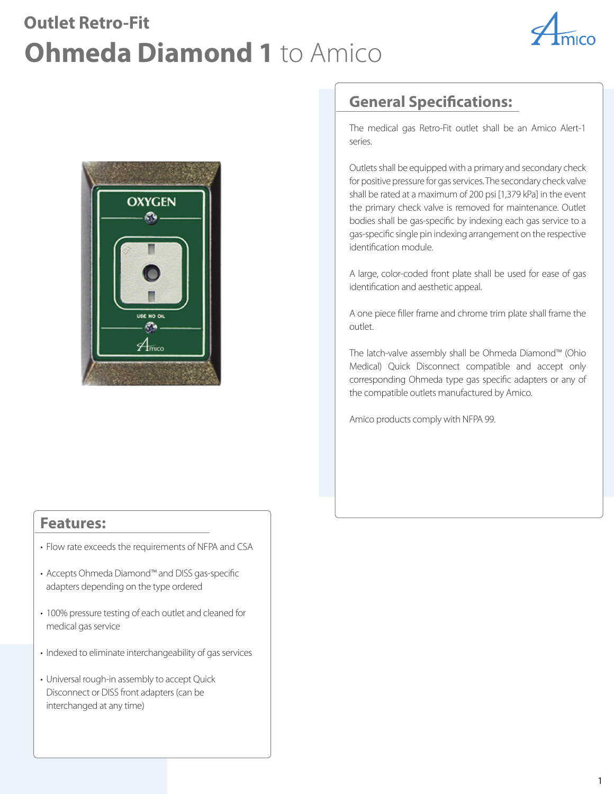# **Outlet Retro-Fit Ohmeda Diamond 1** to Amico





### **Features:**

- Flow rate exceeds the requirements of NFPA and CSA
- Accepts Ohmeda Diamond™ and DISS gas-specific adapters depending on the type ordered
- 100% pressure testing of each outlet and cleaned for medical gas service
- Indexed to eliminate interchangeability of gas services
- Universal rough-in assembly to accept Quick Disconnect or DISS front adapters (can be interchanged at any time)

## **General Specifications:**

The medical gas Retro-Fit outlet shall be an Amico Alert-1 series.

Outlets shall be equipped with a primary and secondary check for positive pressure for gas services. The secondary check valve shall be rated at a maximum of 200 psi [1,379 kPa] in the event the primary check valve is removed for maintenance. Outlet bodies shall be gas-specific by indexing each gas service to a gas-specific single pin indexing arrangement on the respective identification module.

A large, color-coded front plate shall be used for ease of gas identification and aesthetic appeal.

A one piece filler frame and chrome trim plate shall frame the outlet.

The latch-valve assembly shall be Ohmeda Diamond™ (Ohio Medical) Quick Disconnect compatible and accept only corresponding Ohmeda type gas specific adapters or any of the compatible outlets manufactured by Amico.

Amico products comply with NFPA 99.